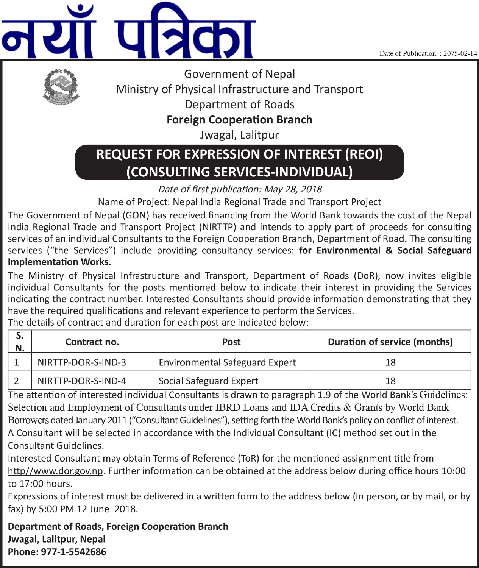Date of Publication.: 2075-02-14





**Government of Nepal** Ministry of Physical Infrastructure and Transport **Department of Roads** 

**Foreign Cooperation Branch** 

Jwagal, Lalitpur

# **REQUEST FOR EXPRESSION OF INTEREST (REOI)** (CONSULTING SERVICES-INDIVIDUAL)

Date of first publication: May 28, 2018

Name of Project: Nepal India Regional Trade and Transport Project

The Government of Nepal (GON) has received financing from the World Bank towards the cost of the Nepal India Regional Trade and Transport Project (NIRTTP) and intends to apply part of proceeds for consulting services of an individual Consultants to the Foreign Cooperation Branch. Department of Road. The consulting services ("the Services") include providing consultancy services: for Environmental & Social Safeguard **Implementation Works.** 

The Ministry of Physical Infrastructure and Transport, Department of Roads (DoR), now invites eligible individual Consultants for the posts mentioned below to indicate their interest in providing the Services indicating the contract number. Interested Consultants should provide information demonstrating that they have the required qualifications and relevant experience to perform the Services.

The details of contract and duration for each post are indicated below:

| N. | Contract no.       | Post                                  | <b>Duration of service (months)</b> |
|----|--------------------|---------------------------------------|-------------------------------------|
|    | NIRTTP-DOR-S-IND-3 | <b>Environmental Safeguard Expert</b> |                                     |
|    | NIRTTP-DOR-S-IND-4 | Social Safeguard Expert               | 18                                  |

The attention of interested individual Consultants is drawn to paragraph 1.9 of the World Bank's Guidelines: Selection and Employment of Consultants under IBRD Loans and IDA Credits & Grants by World Bank Borrowers dated January 2011 ("Consultant Guidelines"), setting forth the World Bank's policy on conflict of interest. A Consultant will be selected in accordance with the Individual Consultant (IC) method set out in the Consultant Guidelines.

Interested Consultant may obtain Terms of Reference (ToR) for the mentioned assignment title from http//www.dor.gov.np. Further information can be obtained at the address below during office hours 10:00 to 17:00 hours.

Expressions of interest must be delivered in a written form to the address below (in person, or by mail, or by fax) by 5:00 PM 12 June 2018.

**Department of Roads, Foreign Cooperation Branch** Jwagal, Lalitpur, Nepal Phone: 977-1-5542686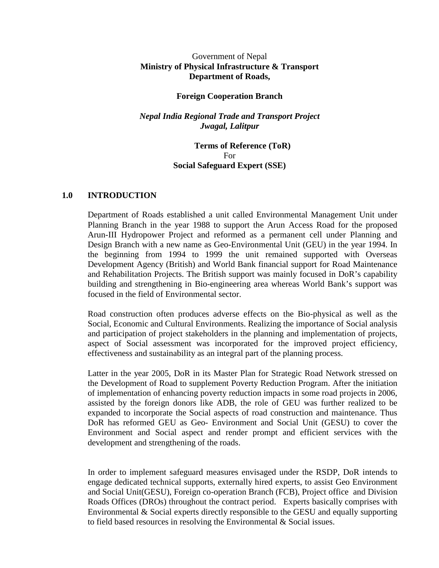#### Government of Nepal **Ministry of Physical Infrastructure & Transport Department of Roads,**

#### **Foreign Cooperation Branch**

#### *Nepal India Regional Trade and Transport Project Jwagal, Lalitpur*

#### **Terms of Reference (ToR)** For **Social Safeguard Expert (SSE)**

#### **1.0 INTRODUCTION**

Department of Roads established a unit called Environmental Management Unit under Planning Branch in the year 1988 to support the Arun Access Road for the proposed Arun-III Hydropower Project and reformed as a permanent cell under Planning and Design Branch with a new name as Geo-Environmental Unit (GEU) in the year 1994. In the beginning from 1994 to 1999 the unit remained supported with Overseas Development Agency (British) and World Bank financial support for Road Maintenance and Rehabilitation Projects. The British support was mainly focused in DoR's capability building and strengthening in Bio-engineering area whereas World Bank's support was focused in the field of Environmental sector.

Road construction often produces adverse effects on the Bio-physical as well as the Social, Economic and Cultural Environments. Realizing the importance of Social analysis and participation of project stakeholders in the planning and implementation of projects, aspect of Social assessment was incorporated for the improved project efficiency, effectiveness and sustainability as an integral part of the planning process.

Latter in the year 2005, DoR in its Master Plan for Strategic Road Network stressed on the Development of Road to supplement Poverty Reduction Program. After the initiation of implementation of enhancing poverty reduction impacts in some road projects in 2006, assisted by the foreign donors like ADB, the role of GEU was further realized to be expanded to incorporate the Social aspects of road construction and maintenance. Thus DoR has reformed GEU as Geo- Environment and Social Unit (GESU) to cover the Environment and Social aspect and render prompt and efficient services with the development and strengthening of the roads.

In order to implement safeguard measures envisaged under the RSDP, DoR intends to engage dedicated technical supports, externally hired experts, to assist Geo Environment and Social Unit(GESU), Foreign co-operation Branch (FCB), Project office and Division Roads Offices (DROs) throughout the contract period. Experts basically comprises with Environmental & Social experts directly responsible to the GESU and equally supporting to field based resources in resolving the Environmental & Social issues.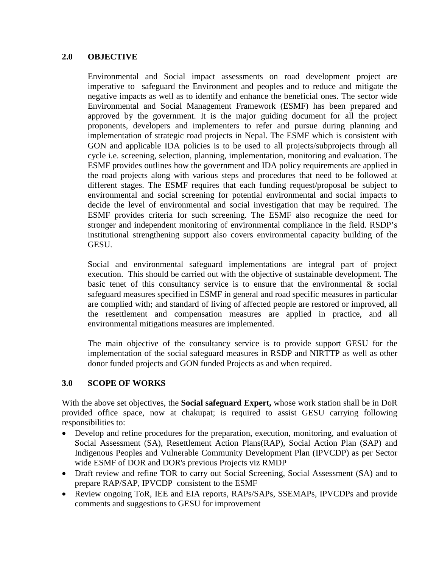## **2.0 OBJECTIVE**

Environmental and Social impact assessments on road development project are imperative to safeguard the Environment and peoples and to reduce and mitigate the negative impacts as well as to identify and enhance the beneficial ones. The sector wide Environmental and Social Management Framework (ESMF) has been prepared and approved by the government. It is the major guiding document for all the project proponents, developers and implementers to refer and pursue during planning and implementation of strategic road projects in Nepal. The ESMF which is consistent with GON and applicable IDA policies is to be used to all projects/subprojects through all cycle i.e. screening, selection, planning, implementation, monitoring and evaluation. The ESMF provides outlines how the government and IDA policy requirements are applied in the road projects along with various steps and procedures that need to be followed at different stages. The ESMF requires that each funding request/proposal be subject to environmental and social screening for potential environmental and social impacts to decide the level of environmental and social investigation that may be required. The ESMF provides criteria for such screening. The ESMF also recognize the need for stronger and independent monitoring of environmental compliance in the field. RSDP's institutional strengthening support also covers environmental capacity building of the GESU.

Social and environmental safeguard implementations are integral part of project execution. This should be carried out with the objective of sustainable development. The basic tenet of this consultancy service is to ensure that the environmental  $\&$  social safeguard measures specified in ESMF in general and road specific measures in particular are complied with; and standard of living of affected people are restored or improved, all the resettlement and compensation measures are applied in practice, and all environmental mitigations measures are implemented.

The main objective of the consultancy service is to provide support GESU for the implementation of the social safeguard measures in RSDP and NIRTTP as well as other donor funded projects and GON funded Projects as and when required.

## **3.0 SCOPE OF WORKS**

With the above set objectives, the **Social safeguard Expert,** whose work station shall be in DoR provided office space, now at chakupat; is required to assist GESU carrying following responsibilities to:

- Develop and refine procedures for the preparation, execution, monitoring, and evaluation of Social Assessment (SA), Resettlement Action Plans(RAP), Social Action Plan (SAP) and Indigenous Peoples and Vulnerable Community Development Plan (IPVCDP) as per Sector wide ESMF of DOR and DOR's previous Projects viz RMDP
- Draft review and refine TOR to carry out Social Screening, Social Assessment (SA) and to prepare RAP/SAP, IPVCDP consistent to the ESMF
- Review ongoing ToR, IEE and EIA reports, RAPs/SAPs, SSEMAPs, IPVCDPs and provide comments and suggestions to GESU for improvement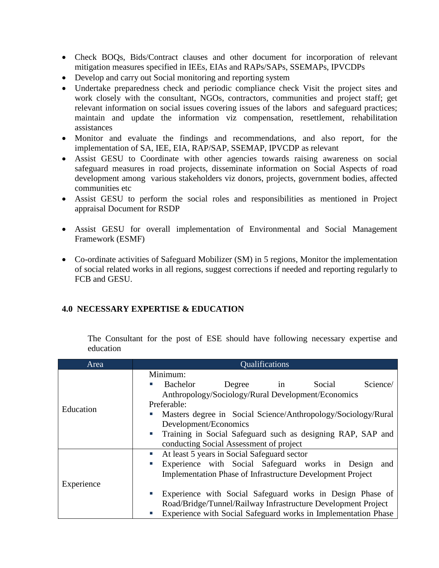- Check BOQs, Bids/Contract clauses and other document for incorporation of relevant mitigation measures specified in IEEs, EIAs and RAPs/SAPs, SSEMAPs, IPVCDPs
- Develop and carry out Social monitoring and reporting system
- Undertake preparedness check and periodic compliance check Visit the project sites and work closely with the consultant, NGOs, contractors, communities and project staff; get relevant information on social issues covering issues of the labors and safeguard practices; maintain and update the information viz compensation, resettlement, rehabilitation assistances
- Monitor and evaluate the findings and recommendations, and also report, for the implementation of SA, IEE, EIA, RAP/SAP, SSEMAP, IPVCDP as relevant
- Assist GESU to Coordinate with other agencies towards raising awareness on social safeguard measures in road projects, disseminate information on Social Aspects of road development among various stakeholders viz donors, projects, government bodies, affected communities etc
- Assist GESU to perform the social roles and responsibilities as mentioned in Project appraisal Document for RSDP
- Assist GESU for overall implementation of Environmental and Social Management Framework (ESMF)
- Co-ordinate activities of Safeguard Mobilizer (SM) in 5 regions, Monitor the implementation of social related works in all regions, suggest corrections if needed and reporting regularly to FCB and GESU.

## **4.0 NECESSARY EXPERTISE & EDUCATION**

The Consultant for the post of ESE should have following necessary expertise and education

| Area       | <b>Qualifications</b>                                               |
|------------|---------------------------------------------------------------------|
|            | Minimum:                                                            |
|            | Bachelor<br>Social<br>Science/<br>Degree<br>п<br>in                 |
|            | Anthropology/Sociology/Rural Development/Economics                  |
| Education  | Preferable:                                                         |
|            | Masters degree in Social Science/Anthropology/Sociology/Rural<br>E  |
|            | Development/Economics                                               |
|            | Training in Social Safeguard such as designing RAP, SAP and<br>×    |
|            | conducting Social Assessment of project                             |
|            | At least 5 years in Social Safeguard sector<br>u,                   |
|            | Experience with Social Safeguard works in Design<br>п<br>and        |
|            | <b>Implementation Phase of Infrastructure Development Project</b>   |
| Experience |                                                                     |
|            | Experience with Social Safeguard works in Design Phase of<br>×.     |
|            | Road/Bridge/Tunnel/Railway Infrastructure Development Project       |
|            | Experience with Social Safeguard works in Implementation Phase<br>E |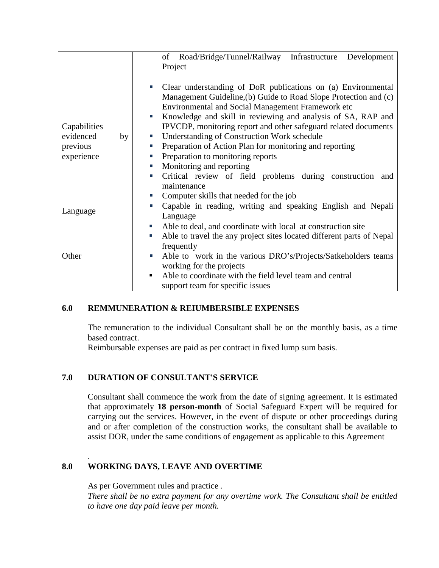|                 | Road/Bridge/Tunnel/Railway Infrastructure<br>of<br>Development              |
|-----------------|-----------------------------------------------------------------------------|
|                 | Project                                                                     |
|                 |                                                                             |
|                 | Clear understanding of DoR publications on (a) Environmental<br>×           |
|                 | Management Guideline, (b) Guide to Road Slope Protection and (c)            |
|                 | <b>Environmental and Social Management Framework etc</b>                    |
|                 | Knowledge and skill in reviewing and analysis of SA, RAP and<br>×.          |
| Capabilities    | IPVCDP, monitoring report and other safeguard related documents             |
| evidenced<br>by | <b>Understanding of Construction Work schedule</b><br>D.                    |
| previous        | Preparation of Action Plan for monitoring and reporting<br>п                |
| experience      | Preparation to monitoring reports<br>L.                                     |
|                 | Monitoring and reporting<br>×.                                              |
|                 | Critical review of field problems during construction and<br>п              |
|                 | maintenance                                                                 |
|                 | Computer skills that needed for the job<br>L.                               |
| Language        | Capable in reading, writing and speaking English and Nepali<br>п            |
|                 | Language                                                                    |
|                 | Able to deal, and coordinate with local at construction site<br>L.          |
|                 | Able to travel the any project sites located different parts of Nepal<br>L. |
|                 | frequently                                                                  |
| Other           | Able to work in the various DRO's/Projects/Satkeholders teams<br>п          |
|                 | working for the projects                                                    |
|                 | Able to coordinate with the field level team and central<br>٠               |
|                 | support team for specific issues                                            |

## **6.0 REMMUNERATION & REIUMBERSIBLE EXPENSES**

The remuneration to the individual Consultant shall be on the monthly basis, as a time based contract.

Reimbursable expenses are paid as per contract in fixed lump sum basis.

#### **7.0 DURATION OF CONSULTANT'S SERVICE**

Consultant shall commence the work from the date of signing agreement. It is estimated that approximately **18 person-month** of Social Safeguard Expert will be required for carrying out the services. However, in the event of dispute or other proceedings during and or after completion of the construction works, the consultant shall be available to assist DOR, under the same conditions of engagement as applicable to this Agreement

## **8.0 WORKING DAYS, LEAVE AND OVERTIME**

As per Government rules and practice *.* 

.

*There shall be no extra payment for any overtime work. The Consultant shall be entitled to have one day paid leave per month.*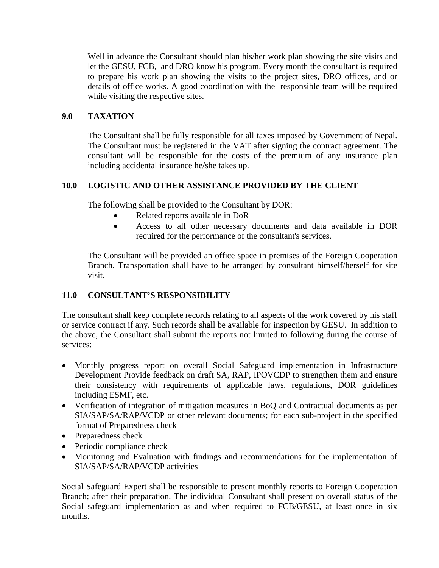Well in advance the Consultant should plan his/her work plan showing the site visits and let the GESU, FCB, and DRO know his program. Every month the consultant is required to prepare his work plan showing the visits to the project sites, DRO offices, and or details of office works. A good coordination with the responsible team will be required while visiting the respective sites.

# **9.0 TAXATION**

The Consultant shall be fully responsible for all taxes imposed by Government of Nepal. The Consultant must be registered in the VAT after signing the contract agreement. The consultant will be responsible for the costs of the premium of any insurance plan including accidental insurance he/she takes up.

# **10.0 LOGISTIC AND OTHER ASSISTANCE PROVIDED BY THE CLIENT**

The following shall be provided to the Consultant by DOR:

- Related reports available in DoR
- Access to all other necessary documents and data available in DOR required for the performance of the consultant's services.

The Consultant will be provided an office space in premises of the Foreign Cooperation Branch. Transportation shall have to be arranged by consultant himself/herself for site visit*.*

# **11.0 CONSULTANT'S RESPONSIBILITY**

The consultant shall keep complete records relating to all aspects of the work covered by his staff or service contract if any. Such records shall be available for inspection by GESU. In addition to the above, the Consultant shall submit the reports not limited to following during the course of services:

- Monthly progress report on overall Social Safeguard implementation in Infrastructure Development Provide feedback on draft SA, RAP, IPOVCDP to strengthen them and ensure their consistency with requirements of applicable laws, regulations, DOR guidelines including ESMF, etc.
- Verification of integration of mitigation measures in BoQ and Contractual documents as per SIA/SAP/SA/RAP/VCDP or other relevant documents; for each sub-project in the specified format of Preparedness check
- Preparedness check
- Periodic compliance check
- Monitoring and Evaluation with findings and recommendations for the implementation of SIA/SAP/SA/RAP/VCDP activities

Social Safeguard Expert shall be responsible to present monthly reports to Foreign Cooperation Branch; after their preparation. The individual Consultant shall present on overall status of the Social safeguard implementation as and when required to FCB/GESU, at least once in six months.